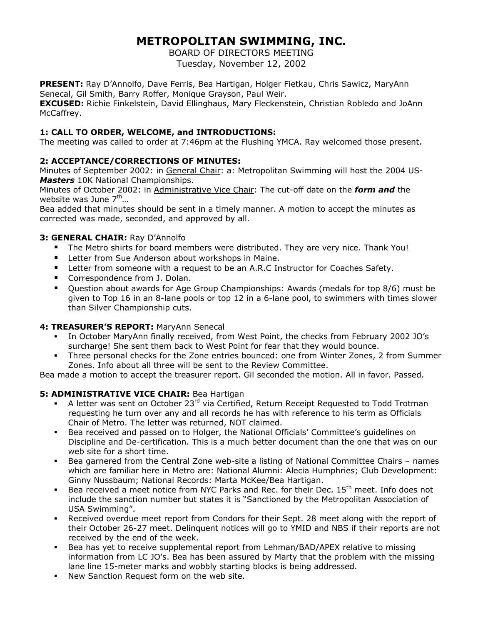# **METROPOLITAN SWIMMING, INC.**

BOARD OF DIRECTORS MEETING Tuesday, November 12, 2002

**PRESENT:** Ray D'Annolfo, Dave Ferris, Bea Hartigan, Holger Fietkau, Chris Sawicz, MaryAnn Senecal, Gil Smith, Barry Roffer, Monique Grayson, Paul Weir.

**EXCUSED:** Richie Finkelstein, David Ellinghaus, Mary Fleckenstein, Christian Robledo and JoAnn McCaffrey.

## **1: CALL TO ORDER, WELCOME, and INTRODUCTIONS:**

The meeting was called to order at 7:46pm at the Flushing YMCA. Ray welcomed those present.

## **2: ACCEPTANCE/CORRECTIONS OF MINUTES:**

Minutes of September 2002: in General Chair: a: Metropolitan Swimming will host the 2004 US-*Masters* 10K National Championships.

Minutes of October 2002: in Administrative Vice Chair: The cut-off date on the *form and* the website was June  $7<sup>th</sup>$ ...

Bea added that minutes should be sent in a timely manner. A motion to accept the minutes as corrected was made, seconded, and approved by all.

## **3: GENERAL CHAIR:** Ray D'Annolfo

- The Metro shirts for board members were distributed. They are very nice. Thank You!
- **EXECT:** Letter from Sue Anderson about workshops in Maine.
- **EXECT** Letter from someone with a request to be an A.R.C Instructor for Coaches Safety.
- Correspondence from J. Dolan.
- Question about awards for Age Group Championships: Awards (medals for top 8/6) must be given to Top 16 in an 8-lane pools or top 12 in a 6-lane pool, to swimmers with times slower than Silver Championship cuts.

## **4: TREASURER'S REPORT:** MaryAnn Senecal

- In October MaryAnn finally received, from West Point, the checks from February 2002 JO's surcharge! She sent them back to West Point for fear that they would bounce.
- Three personal checks for the Zone entries bounced: one from Winter Zones, 2 from Summer Zones. Info about all three will be sent to the Review Committee.

Bea made a motion to accept the treasurer report. Gil seconded the motion. All in favor. Passed.

## **5: ADMINISTRATIVE VICE CHAIR:** Bea Hartigan

- A letter was sent on October 23 $^{rd}$  via Certified, Return Receipt Requested to Todd Trotman requesting he turn over any and all records he has with reference to his term as Officials Chair of Metro. The letter was returned, NOT claimed.
- Bea received and passed on to Holger, the National Officials' Committee's guidelines on Discipline and De-certification. This is a much better document than the one that was on our web site for a short time.
- Bea garnered from the Central Zone web-site a listing of National Committee Chairs names which are familiar here in Metro are: National Alumni: Alecia Humphries; Club Development: Ginny Nussbaum; National Records: Marta McKee/Bea Hartigan.
- Bea received a meet notice from NYC Parks and Rec. for their Dec. 15<sup>th</sup> meet. Info does not include the sanction number but states it is "Sanctioned by the Metropolitan Association of USA Swimming".
- Received overdue meet report from Condors for their Sept. 28 meet along with the report of their October 26-27 meet. Delinquent notices will go to YMID and NBS if their reports are not received by the end of the week.
- Bea has yet to receive supplemental report from Lehman/BAD/APEX relative to missing information from LC JO's. Bea has been assured by Marty that the problem with the missing lane line 15-meter marks and wobbly starting blocks is being addressed.
- New Sanction Request form on the web site.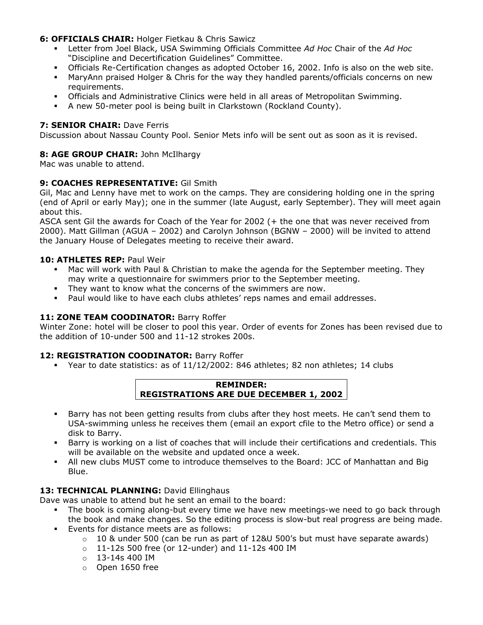#### **6: OFFICIALS CHAIR:** Holger Fietkau & Chris Sawicz

- Letter from Joel Black, USA Swimming Officials Committee *Ad Hoc* Chair of the *Ad Hoc* "Discipline and Decertification Guidelines" Committee.
- Officials Re-Certification changes as adopted October 16, 2002. Info is also on the web site.
- MaryAnn praised Holger & Chris for the way they handled parents/officials concerns on new requirements.
- Officials and Administrative Clinics were held in all areas of Metropolitan Swimming.
- A new 50-meter pool is being built in Clarkstown (Rockland County).

### **7: SENIOR CHAIR: Dave Ferris**

Discussion about Nassau County Pool. Senior Mets info will be sent out as soon as it is revised.

#### **8: AGE GROUP CHAIR:** John McIlhargy

Mac was unable to attend.

#### **9: COACHES REPRESENTATIVE:** Gil Smith

Gil, Mac and Lenny have met to work on the camps. They are considering holding one in the spring (end of April or early May); one in the summer (late August, early September). They will meet again about this.

ASCA sent Gil the awards for Coach of the Year for 2002 (+ the one that was never received from 2000). Matt Gillman (AGUA – 2002) and Carolyn Johnson (BGNW – 2000) will be invited to attend the January House of Delegates meeting to receive their award.

#### **10: ATHLETES REP:** Paul Weir

- Mac will work with Paul & Christian to make the agenda for the September meeting. They may write a questionnaire for swimmers prior to the September meeting.
- They want to know what the concerns of the swimmers are now.
- Paul would like to have each clubs athletes' reps names and email addresses.

#### 11: **ZONE TEAM COODINATOR:** Barry Roffer

Winter Zone: hotel will be closer to pool this year. Order of events for Zones has been revised due to the addition of 10-under 500 and 11-12 strokes 200s.

#### **12: REGISTRATION COODINATOR:** Barry Roffer

Year to date statistics: as of 11/12/2002: 846 athletes; 82 non athletes; 14 clubs



- Barry has not been getting results from clubs after they host meets. He can't send them to USA-swimming unless he receives them (email an export cfile to the Metro office) or send a disk to Barry.
- Barry is working on a list of coaches that will include their certifications and credentials. This will be available on the website and updated once a week.
- All new clubs MUST come to introduce themselves to the Board: JCC of Manhattan and Big Blue.

#### 13: TECHNICAL PLANNING: David Ellinghaus

Dave was unable to attend but he sent an email to the board:

- The book is coming along-but every time we have new meetings-we need to go back through the book and make changes. So the editing process is slow-but real progress are being made.
- Events for distance meets are as follows:
	- $\circ$  10 & under 500 (can be run as part of 12&U 500's but must have separate awards)
	- $0 11 12s$  500 free (or 12-under) and 11-12s 400 IM
	- $_0$  13-14s 400 IM
	- o Open 1650 free